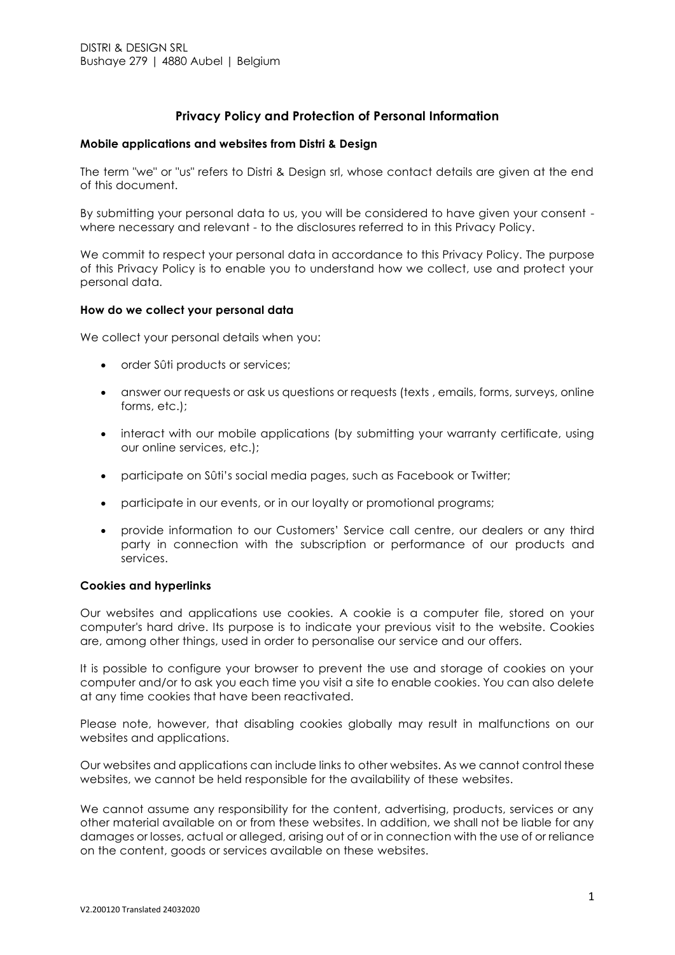# **Privacy Policy and Protection of Personal Information**

#### **Mobile applications and websites from Distri & Design**

The term "we" or "us" refers to Distri & Design srl, whose contact details are given at the end of this document.

By submitting your personal data to us, you will be considered to have given your consent where necessary and relevant - to the disclosures referred to in this Privacy Policy.

We commit to respect your personal data in accordance to this Privacy Policy. The purpose of this Privacy Policy is to enable you to understand how we collect, use and protect your personal data.

#### **How do we collect your personal data**

We collect your personal details when you:

- order Sûti products or services;
- answer our requests or ask us questions or requests (texts, emails, forms, surveys, online forms, etc.);
- interact with our mobile applications (by submitting your warranty certificate, using our online services, etc.);
- participate on Sûti's social media pages, such as Facebook or Twitter;
- participate in our events, or in our loyalty or promotional programs;
- provide information to our Customers' Service call centre, our dealers or any third party in connection with the subscription or performance of our products and services.

## **Cookies and hyperlinks**

Our websites and applications use cookies. A cookie is a computer file, stored on your computer's hard drive. Its purpose is to indicate your previous visit to the website. Cookies are, among other things, used in order to personalise our service and our offers.

It is possible to configure your browser to prevent the use and storage of cookies on your computer and/or to ask you each time you visit a site to enable cookies. You can also delete at any time cookies that have been reactivated.

Please note, however, that disabling cookies globally may result in malfunctions on our websites and applications.

Our websites and applications can include links to other websites. As we cannot control these websites, we cannot be held responsible for the availability of these websites.

We cannot assume any responsibility for the content, advertising, products, services or any other material available on or from these websites. In addition, we shall not be liable for any damages or losses, actual or alleged, arising out of or in connection with the use of or reliance on the content, goods or services available on these websites.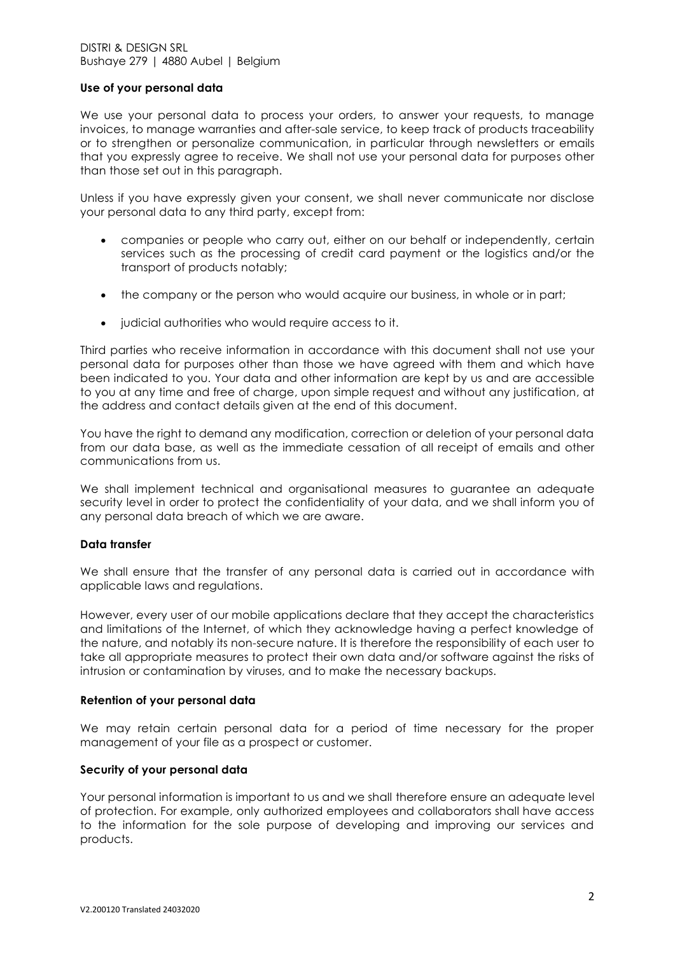#### DISTRI & DESIGN SRL Bushaye 279 | 4880 Aubel | Belgium

## **Use of your personal data**

We use your personal data to process your orders, to answer your requests, to manage invoices, to manage warranties and after-sale service, to keep track of products traceability or to strengthen or personalize communication, in particular through newsletters or emails that you expressly agree to receive. We shall not use your personal data for purposes other than those set out in this paragraph.

Unless if you have expressly given your consent, we shall never communicate nor disclose your personal data to any third party, except from:

- companies or people who carry out, either on our behalf or independently, certain services such as the processing of credit card payment or the logistics and/or the transport of products notably;
- the company or the person who would acquire our business, in whole or in part;
- judicial authorities who would require access to it.

Third parties who receive information in accordance with this document shall not use your personal data for purposes other than those we have agreed with them and which have been indicated to you. Your data and other information are kept by us and are accessible to you at any time and free of charge, upon simple request and without any justification, at the address and contact details given at the end of this document.

You have the right to demand any modification, correction or deletion of your personal data from our data base, as well as the immediate cessation of all receipt of emails and other communications from us.

We shall implement technical and organisational measures to guarantee an adequate security level in order to protect the confidentiality of your data, and we shall inform you of any personal data breach of which we are aware.

## **Data transfer**

We shall ensure that the transfer of any personal data is carried out in accordance with applicable laws and regulations.

However, every user of our mobile applications declare that they accept the characteristics and limitations of the Internet, of which they acknowledge having a perfect knowledge of the nature, and notably its non-secure nature. It is therefore the responsibility of each user to take all appropriate measures to protect their own data and/or software against the risks of intrusion or contamination by viruses, and to make the necessary backups.

## **Retention of your personal data**

We may retain certain personal data for a period of time necessary for the proper management of your file as a prospect or customer.

## **Security of your personal data**

Your personal information is important to us and we shall therefore ensure an adequate level of protection. For example, only authorized employees and collaborators shall have access to the information for the sole purpose of developing and improving our services and products.